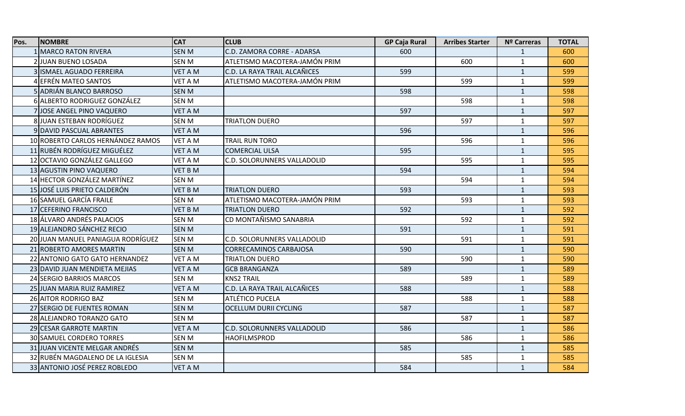| Pos. | <b>NOMBRE</b>                     | <b>CAT</b>     | <b>CLUB</b>                   | <b>GP Caja Rural</b> | <b>Arribes Starter</b> | <b>Nº Carreras</b> | <b>TOTAL</b> |
|------|-----------------------------------|----------------|-------------------------------|----------------------|------------------------|--------------------|--------------|
|      | 1 MARCO RATON RIVERA              | <b>SEN M</b>   | C.D. ZAMORA CORRE - ADARSA    | 600                  |                        | $\mathbf{1}$       | 600          |
|      | 2 JUAN BUENO LOSADA               | <b>SEN M</b>   | ATLETISMO MACOTERA-JAMÓN PRIM |                      | 600                    | $\mathbf{1}$       | 600          |
|      | 3 ISMAEL AGUADO FERREIRA          | <b>VET A M</b> | C.D. LA RAYA TRAIL ALCAÑICES  | 599                  |                        | $\mathbf{1}$       | 599          |
|      | 4 EFRÉN MATEO SANTOS              | <b>VET A M</b> | ATLETISMO MACOTERA-JAMÓN PRIM |                      | 599                    | $\mathbf{1}$       | 599          |
|      | 5 ADRIÁN BLANCO BARROSO           | <b>SEN M</b>   |                               | 598                  |                        | $\mathbf{1}$       | 598          |
|      | 6 ALBERTO RODRIGUEZ GONZÁLEZ      | <b>SEN M</b>   |                               |                      | 598                    | $\mathbf{1}$       | 598          |
|      | 7JJOSE ANGEL PINO VAQUERO         | <b>VET A M</b> |                               | 597                  |                        | $\mathbf{1}$       | 597          |
|      | 8JJUAN ESTEBAN RODRÍGUEZ          | <b>SEN M</b>   | TRIATLON DUERO                |                      | 597                    | $\mathbf{1}$       | 597          |
|      | <b>9 DAVID PASCUAL ABRANTES</b>   | <b>VET A M</b> |                               | 596                  |                        | $\mathbf{1}$       | 596          |
|      | 10 ROBERTO CARLOS HERNÁNDEZ RAMOS | <b>VET A M</b> | TRAIL RUN TORO                |                      | 596                    | $\mathbf{1}$       | 596          |
|      | 11 RUBÉN RODRÍGUEZ MIGUÉLEZ       | <b>VET A M</b> | <b>COMERCIAL ULSA</b>         | 595                  |                        | $\mathbf{1}$       | 595          |
|      | 12 OCTAVIO GONZÁLEZ GALLEGO       | <b>VET A M</b> | C.D. SOLORUNNERS VALLADOLID   |                      | 595                    | $\mathbf{1}$       | 595          |
|      | 13 AGUSTIN PINO VAQUERO           | <b>VET B M</b> |                               | 594                  |                        | $\mathbf{1}$       | 594          |
|      | 14 HECTOR GONZÁLEZ MARTÍNEZ       | <b>SEN M</b>   |                               |                      | 594                    | $\mathbf{1}$       | 594          |
|      | 15 JOSÉ LUIS PRIETO CALDERÓN      | <b>VET B M</b> | <b>TRIATLON DUERO</b>         | 593                  |                        | $\mathbf{1}$       | 593          |
|      | 16 SAMUEL GARCÍA FRAILE           | <b>SEN M</b>   | ATLETISMO MACOTERA-JAMÓN PRIM |                      | 593                    | $\mathbf{1}$       | 593          |
|      | 17 CEFERINO FRANCISCO             | <b>VET B M</b> | <b>TRIATLON DUERO</b>         | 592                  |                        | $\mathbf{1}$       | 592          |
|      | 18 ÁLVARO ANDRÉS PALACIOS         | <b>SEN M</b>   | CD MONTAÑISMO SANABRIA        |                      | 592                    | $\mathbf{1}$       | 592          |
|      | 19 ALEJANDRO SÁNCHEZ RECIO        | <b>SEN M</b>   |                               | 591                  |                        | $\mathbf{1}$       | 591          |
|      | 20 JUAN MANUEL PANIAGUA RODRÍGUEZ | <b>SEN M</b>   | C.D. SOLORUNNERS VALLADOLID   |                      | 591                    | $\mathbf{1}$       | 591          |
|      | 21 ROBERTO AMORES MARTIN          | <b>SEN M</b>   | CORRECAMINOS CARBAJOSA        | 590                  |                        | $\mathbf{1}$       | 590          |
|      | 22 ANTONIO GATO GATO HERNANDEZ    | <b>VET A M</b> | <b>TRIATLON DUERO</b>         |                      | 590                    | $\mathbf{1}$       | 590          |
|      | 23 DAVID JUAN MENDIETA MEJIAS     | <b>VET A M</b> | <b>GCB BRANGANZA</b>          | 589                  |                        | $\mathbf{1}$       | 589          |
|      | 24 SERGIO BARRIOS MARCOS          | <b>SEN M</b>   | <b>KNS2 TRAIL</b>             |                      | 589                    | $\mathbf{1}$       | 589          |
|      | 25 JUAN MARIA RUIZ RAMIREZ        | <b>VET A M</b> | C.D. LA RAYA TRAIL ALCAÑICES  | 588                  |                        | $\mathbf{1}$       | 588          |
|      | 26 AITOR RODRIGO BAZ              | SEN M          | ATLÉTICO PUCELA               |                      | 588                    | $\mathbf{1}$       | 588          |
|      | 27 SERGIO DE FUENTES ROMAN        | <b>SEN M</b>   | <b>OCELLUM DURII CYCLING</b>  | 587                  |                        | $\mathbf{1}$       | 587          |
|      | 28 ALEJANDRO TORANZO GATO         | <b>SEN M</b>   |                               |                      | 587                    | $\mathbf{1}$       | 587          |
|      | 29 CESAR GARROTE MARTIN           | <b>VET A M</b> | C.D. SOLORUNNERS VALLADOLID   | 586                  |                        | $\mathbf{1}$       | 586          |
|      | 30 SAMUEL CORDERO TORRES          | <b>SEN M</b>   | <b>HAOFILMSPROD</b>           |                      | 586                    | $\mathbf{1}$       | 586          |
|      | 31 JUAN VICENTE MELGAR ANDRÉS     | <b>SEN M</b>   |                               | 585                  |                        | $\mathbf{1}$       | 585          |
|      | 32 RUBÉN MAGDALENO DE LA IGLESIA  | <b>SEN M</b>   |                               |                      | 585                    | $\mathbf{1}$       | 585          |
|      | 33 ANTONIO JOSÉ PEREZ ROBLEDO     | <b>VET A M</b> |                               | 584                  |                        | $\mathbf{1}$       | 584          |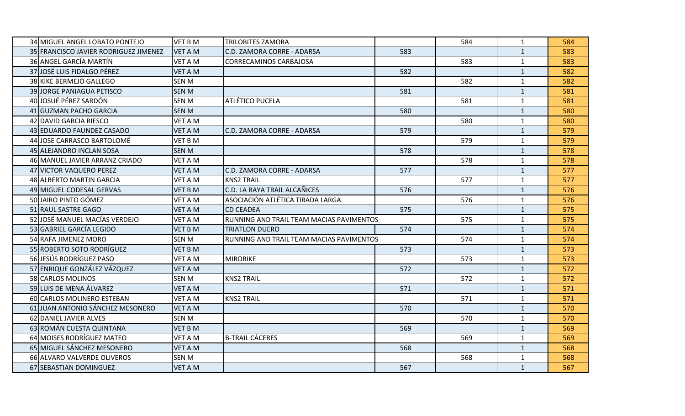| 34 MIGUEL ANGEL LOBATO PONTEJO        | <b>VET B M</b> | <b>TRILOBITES ZAMORA</b>                 |     | 584 | $\mathbf{1}$ | 584 |
|---------------------------------------|----------------|------------------------------------------|-----|-----|--------------|-----|
| 35 FRANCISCO JAVIER RODRIGUEZ JIMENEZ | <b>VET A M</b> | C.D. ZAMORA CORRE - ADARSA               | 583 |     | $\mathbf{1}$ | 583 |
| 36 ANGEL GARCÍA MARTÍN                | <b>VET A M</b> | <b>CORRECAMINOS CARBAJOSA</b>            |     | 583 | $\mathbf{1}$ | 583 |
| 37 JOSÉ LUIS FIDALGO PÉREZ            | <b>VET A M</b> |                                          | 582 |     | $\mathbf{1}$ | 582 |
| 38 KIKE BERMEJO GALLEGO               | <b>SEN M</b>   |                                          |     | 582 | $\mathbf{1}$ | 582 |
| 39 JORGE PANIAGUA PETISCO             | <b>SEN M</b>   |                                          | 581 |     | $\mathbf{1}$ | 581 |
| 40 JOSUÉ PÉREZ SARDÓN                 | <b>SEN M</b>   | ATLÉTICO PUCELA                          |     | 581 | $\mathbf{1}$ | 581 |
| 41 GUZMAN PACHO GARCIA                | <b>SEN M</b>   |                                          | 580 |     | $\mathbf{1}$ | 580 |
| 42 DAVID GARCIA RIESCO                | <b>VET A M</b> |                                          |     | 580 | $\mathbf{1}$ | 580 |
| 43 EDUARDO FAUNDEZ CASADO             | <b>VET A M</b> | C.D. ZAMORA CORRE - ADARSA               | 579 |     | $\mathbf{1}$ | 579 |
| 44 JOSE CARRASCO BARTOLOMÉ            | VET B M        |                                          |     | 579 | $\mathbf{1}$ | 579 |
| 45 ALEJANDRO INCLAN SOSA              | <b>SEN M</b>   |                                          | 578 |     | $\mathbf{1}$ | 578 |
| 46 MANUEL JAVIER ARRANZ CRIADO        | <b>VET A M</b> |                                          |     | 578 | $\mathbf{1}$ | 578 |
| 47 VICTOR VAQUERO PEREZ               | <b>VET A M</b> | C.D. ZAMORA CORRE - ADARSA               | 577 |     | $\mathbf{1}$ | 577 |
| 48 ALBERTO MARTIN GARCIA              | <b>VET A M</b> | <b>KNS2 TRAIL</b>                        |     | 577 | $\mathbf{1}$ | 577 |
| 49 MIGUEL CODESAL GERVAS              | <b>VET B M</b> | C.D. LA RAYA TRAIL ALCAÑICES             | 576 |     | $\mathbf{1}$ | 576 |
| 50 JAIRO PINTO GÓMEZ                  | <b>VET A M</b> | ASOCIACIÓN ATLÉTICA TIRADA LARGA         |     | 576 | $\mathbf{1}$ | 576 |
| 51 RAUL SASTRE GAGO                   | <b>VET A M</b> | <b>CD CEADEA</b>                         | 575 |     | $\mathbf{1}$ | 575 |
| 52 JOSÉ MANUEL MACÍAS VERDEJO         | VET A M        | RUNNING AND TRAIL TEAM MACIAS PAVIMENTOS |     | 575 | $\mathbf{1}$ | 575 |
| 53 GABRIEL GARCÍA LEGIDO              | <b>VET B M</b> | <b>TRIATLON DUERO</b>                    | 574 |     | $\mathbf{1}$ | 574 |
| 54 RAFA JIMENEZ MORO                  | <b>SEN M</b>   | RUNNING AND TRAIL TEAM MACIAS PAVIMENTOS |     | 574 | $\mathbf{1}$ | 574 |
| 55 ROBERTO SOTO RODRÍGUEZ             | <b>VET B M</b> |                                          | 573 |     | $\mathbf{1}$ | 573 |
| 56 JESÚS RODRÍGUEZ PASO               | <b>VET A M</b> | <b>MIROBIKE</b>                          |     | 573 | $\mathbf{1}$ | 573 |
| 57 ENRIQUE GONZÁLEZ VÁZQUEZ           | <b>VET A M</b> |                                          | 572 |     | $\mathbf{1}$ | 572 |
| 58 CARLOS MOLINOS                     | <b>SEN M</b>   | <b>KNS2 TRAIL</b>                        |     | 572 | $\mathbf{1}$ | 572 |
| 59 LUIS DE MENA ÁLVAREZ               | <b>VET A M</b> |                                          | 571 |     | $\mathbf{1}$ | 571 |
| 60 CARLOS MOLINERO ESTEBAN            | <b>VET A M</b> | <b>KNS2 TRAIL</b>                        |     | 571 | $\mathbf{1}$ | 571 |
| 61 JUAN ANTONIO SÁNCHEZ MESONERO      | <b>VET A M</b> |                                          | 570 |     | $\mathbf{1}$ | 570 |
| 62 DANIEL JAVIER ALVES                | <b>SEN M</b>   |                                          |     | 570 | $\mathbf{1}$ | 570 |
| 63 ROMÁN CUESTA QUINTANA              | <b>VET B M</b> |                                          | 569 |     | $\mathbf{1}$ | 569 |
| 64 MOISES RODRÍGUEZ MATEO             | <b>VET A M</b> | <b>B-TRAIL CÁCERES</b>                   |     | 569 | $\mathbf{1}$ | 569 |
| 65 MIGUEL SÁNCHEZ MESONERO            | <b>VET A M</b> |                                          | 568 |     | $\mathbf{1}$ | 568 |
| 66 ALVARO VALVERDE OLIVEROS           | <b>SEN M</b>   |                                          |     | 568 | $\mathbf{1}$ | 568 |
| 67 SEBASTIAN DOMINGUEZ                | <b>VET A M</b> |                                          | 567 |     | $\mathbf{1}$ | 567 |